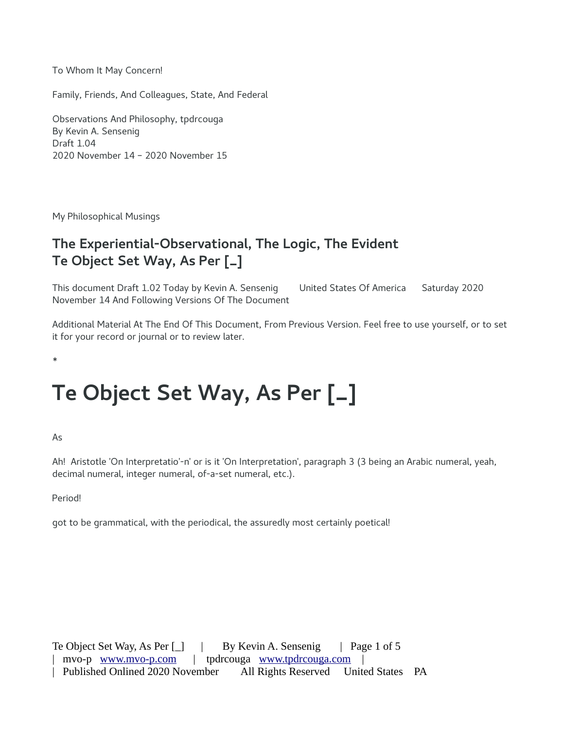To Whom It May Concern!

Family, Friends, And Colleagues, State, And Federal

Observations And Philosophy, tpdrcouga By Kevin A. Sensenig Draft 1.04 2020 November 14 – 2020 November 15

My Philosophical Musings

## **The Experiential-Observational, The Logic, The Evident Te Object Set Way, As Per [\_]**

This document Draft 1.02 Today by Kevin A. Sensenig United States Of America Saturday 2020 November 14 And Following Versions Of The Document

Additional Material At The End Of This Document, From Previous Version. Feel free to use yourself, or to set it for your record or journal or to review later.

\*

## **Te Object Set Way, As Per [\_]**

As

Ah! Aristotle 'On Interpretatio'-n' or is it 'On Interpretation', paragraph 3 (3 being an Arabic numeral, yeah, decimal numeral, integer numeral, of-a-set numeral, etc.).

Period!

got to be grammatical, with the periodical, the assuredly most certainly poetical!

Te Object Set Way, As Per  $\begin{bmatrix} \_ \end{bmatrix}$  | By Kevin A. Sensenig | Page 1 of 5 mvo-p [www.mvo-p.com](http://www.mvo-p.com/) | tpdrcouga www.tpdrcouga.com | Published Onlined 2020 November All Rights Reserved United States PA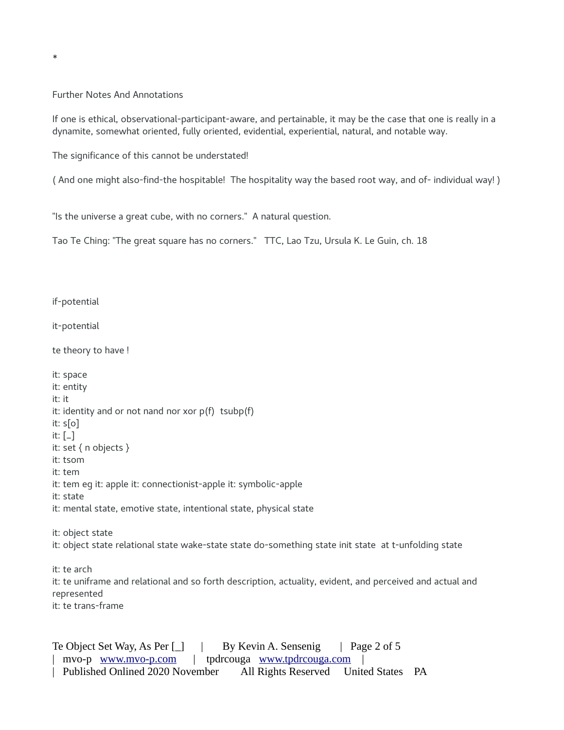Further Notes And Annotations

\*

If one is ethical, observational-participant-aware, and pertainable, it may be the case that one is really in a dynamite, somewhat oriented, fully oriented, evidential, experiential, natural, and notable way.

The significance of this cannot be understated!

( And one might also-find-the hospitable! The hospitality way the based root way, and of- individual way! )

"Is the universe a great cube, with no corners." A natural question.

Tao Te Ching: "The great square has no corners." TTC, Lao Tzu, Ursula K. Le Guin, ch. 18

if-potential

it-potential

te theory to have !

it: space it: entity it: it it: identity and or not nand nor xor  $p(f)$  tsubp(f) it: s[o] it:  $\left[\begin{smallmatrix} -\end{smallmatrix}\right]$ it: set { n objects } it: tsom it: tem it: tem eg it: apple it: connectionist-apple it: symbolic-apple it: state it: mental state, emotive state, intentional state, physical state it: object state it: object state relational state wake-state state do-something state init state at t-unfolding state it: te arch it: te uniframe and relational and so forth description, actuality, evident, and perceived and actual and represented it: te trans-frame

Te Object Set Way, As Per [\_] | By Kevin A. Sensenig | Page 2 of 5 | mvo-p [www.mvo-p.com](http://www.mvo-p.com/) | tpdrcouga [www.tpdrcouga.com](http://www.tpdrcouga.com/) | | Published Onlined 2020 November All Rights Reserved United States PA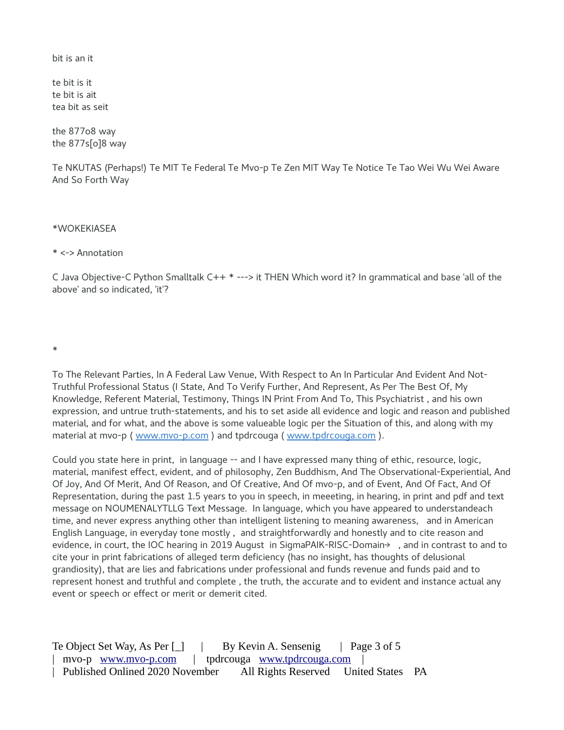hit is an it

te bit is it te bit is ait tea bit as seit

the 877o8 way the  $877s[0]8$  way

Te NKUTAS (Perhaps!) Te MIT Te Federal Te Mvo-p Te Zen MIT Way Te Notice Te Tao Wei Wu Wei Aware And So Forth Way

\*WOKEKIASEA

\* <-> Annotation

C Java Objective-C Python Smalltalk C++ \* ---> it THEN Which word it? In grammatical and base 'all of the above' and so indicated, 'it'?

 $\ast$ 

To The Relevant Parties, In A Federal Law Venue, With Respect to An In Particular And Evident And Not-Truthful Professional Status (I State, And To Verify Further, And Represent, As Per The Best Of, My Knowledge, Referent Material, Testimony, Things IN Print From And To, This Psychiatrist, and his own expression, and untrue truth-statements, and his to set aside all evidence and logic and reason and published material, and for what, and the above is some valueable logic per the Situation of this, and along with my material at mvo-p (www.mvo-p.com) and tpdrcouga (www.tpdrcouga.com).

Could you state here in print, in language -- and I have expressed many thing of ethic, resource, logic, material, manifest effect, evident, and of philosophy, Zen Buddhism, And The Observational-Experiential, And Of Joy, And Of Merit, And Of Reason, and Of Creative, And Of mvo-p, and of Event, And Of Fact, And Of Representation, during the past 1.5 years to you in speech, in meeeting, in hearing, in print and pdf and text message on NOUMENALYTLLG Text Message. In language, which you have appeared to understandeach time, and never express anything other than intelligent listening to meaning awareness, and in American English Language, in everyday tone mostly, and straightforwardly and honestly and to cite reason and evidence, in court, the IOC hearing in 2019 August in SigmaPAIK-RISC-Domain→, and in contrast to and to cite your in print fabrications of alleged term deficiency (has no insight, has thoughts of delusional grandiosity), that are lies and fabrications under professional and funds revenue and funds paid and to represent honest and truthful and complete, the truth, the accurate and to evident and instance actual any event or speech or effect or merit or demerit cited.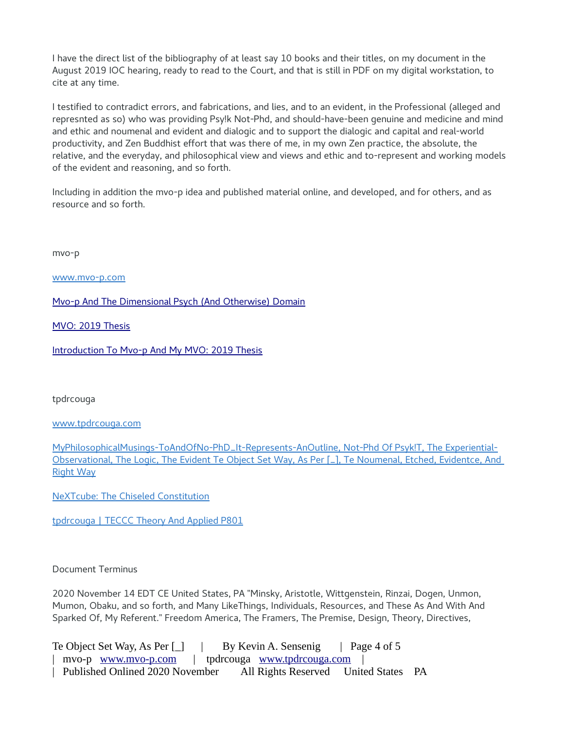I have the direct list of the bibliography of at least say 10 books and their titles, on my document in the August 2019 IOC hearing, ready to read to the Court, and that is still in PDF on my digital workstation, to cite at any time.

I testified to contradict errors, and fabrications, and lies, and to an evident, in the Professional (alleged and represnted as so) who was providing Psy!k Not-Phd, and should-have-been genuine and medicine and mind and ethic and noumenal and evident and dialogic and to support the dialogic and capital and real-world productivity, and Zen Buddhist effort that was there of me, in my own Zen practice, the absolute, the relative, and the everyday, and philosophical view and views and ethic and to-represent and working models of the evident and reasoning, and so forth.

Including in addition the mvo-p idea and published material online, and developed, and for others, and as resource and so forth.

mvo-p

[www.mvo-p.com](http://www.mvo-p.com/)

[Mvo-p And The Dimensional Psych \(And Otherwise\) Domain](http://www.mvo-p.com/Mvo-p-And-The-Dimensional-Psych-Domain.html)

[MVO: 2019 Thesis](http://www.mvo-p.com/Mvo-2019-Thesis.html)

[Introduction To Mvo-p And My MVO: 2019 Thesis](http://www.mvo-p.com/Mvo-2019-Thesis.html)

tpdrcouga

[www.tpdrcouga.com](http://www.tpdrcouga.com/)

[MyPhilosophicalMusings-ToAndOfNo-PhD\\_It-Represents-AnOutline, Not-Phd Of Psyk!T, The Experiential-](http://www.tpdrcouga.com/MyPhilosophicalMusings-ToAndOfNo-PhD_It-Represents-AnOutline.html)[Observational, The Logic, The Evident Te Object Set Way, As Per \[\\_\], Te Noumenal, Etched, Evidentce, And](http://www.tpdrcouga.com/MyPhilosophicalMusings-ToAndOfNo-PhD_It-Represents-AnOutline.html)  [Right Way](http://www.tpdrcouga.com/MyPhilosophicalMusings-ToAndOfNo-PhD_It-Represents-AnOutline.html)

[NeXTcube: The Chiseled Constitution](http://www.tpdrcouga.com/documents/NeXTcube%3A%20The%20Chiseled%20Constitution.pdf)

[tpdrcouga | TECCC Theory And Applied P801](http://www.tpdrcouga.com/TECCC_Theory_And_Applied_P801.html)

## Document Terminus

2020 November 14 EDT CE United States, PA "Minsky, Aristotle, Wittgenstein, Rinzai, Dogen, Unmon, Mumon, Obaku, and so forth, and Many LikeThings, Individuals, Resources, and These As And With And Sparked Of, My Referent." Freedom America, The Framers, The Premise, Design, Theory, Directives,

Te Object Set Way, As Per [ ] | By Kevin A. Sensenig | Page 4 of 5 | mvo-p [www.mvo-p.com](http://www.mvo-p.com/) | tpdrcouga [www.tpdrcouga.com](http://www.tpdrcouga.com/) | | Published Onlined 2020 November All Rights Reserved United States PA